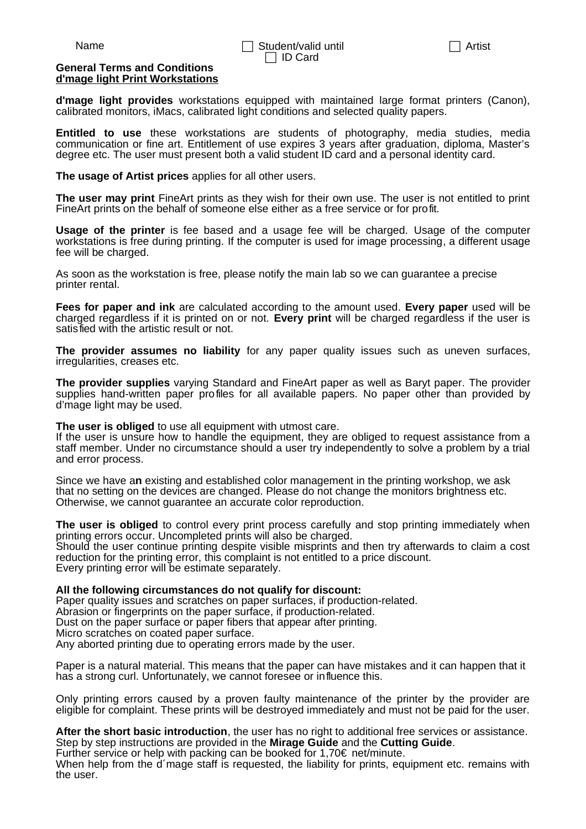## **General Terms and Conditions d'mage light Print Workstations**

**d'mage light provides** workstations equipped with maintained large format printers (Canon), calibrated monitors, iMacs, calibrated light conditions and selected quality papers.

**Entitled to use** these workstations are students of photography, media studies, media communication or fine art. Entitlement of use expires 3 years after graduation, diploma, Master's degree etc. The user must present both a valid student ID card and a personal identity card.

**The usage of Artist prices** applies for all other users.

**The user may print** FineArt prints as they wish for their own use. The user is not entitled to print FineArt prints on the behalf of someone else either as a free service or for profit.

**Usage of the printer** is fee based and a usage fee will be charged. Usage of the computer workstations is free during printing. If the computer is used for image processing, a different usage fee will be charged.

As soon as the workstation is free, please notify the main lab so we can guarantee a precise printer rental.

**Fees for paper and ink** are calculated according to the amount used. **Every paper** used will be charged regardless if it is printed on or not. **Every print** will be charged regardless if the user is satisfied with the artistic result or not.

**The provider assumes no liability** for any paper quality issues such as uneven surfaces, irregularities, creases etc.

**The provider supplies** varying Standard and FineArt paper as well as Baryt paper. The provider supplies hand-written paper profiles for all available papers. No paper other than provided by d'mage light may be used.

**The user is obliged** to use all equipment with utmost care.

If the user is unsure how to handle the equipment, they are obliged to request assistance from a staff member. Under no circumstance should a user try independently to solve a problem by a trial and error process.

Since we have a**n** existing and established color management in the printing workshop, we ask that no setting on the devices are changed. Please do not change the monitors brightness etc. Otherwise, we cannot quarantee an accurate color reproduction.

**The user is obliged** to control every print process carefully and stop printing immediately when printing errors occur. Uncompleted prints will also be charged. Should the user continue printing despite visible misprints and then try afterwards to claim a cost reduction for the printing error, this complaint is not entitled to a price discount. Every printing error will be estimate separately.

**All the following circumstances do not qualify for discount:**

Paper quality issues and scratches on paper surfaces, if production-related. Abrasion or fingerprints on the paper surface, if production-related. Dust on the paper surface or paper fibers that appear after printing.

Micro scratches on coated paper surface.

Any aborted printing due to operating errors made by the user.

Paper is a natural material. This means that the paper can have mistakes and it can happen that it has a strong curl. Unfortunately, we cannot foresee or influence this.

Only printing errors caused by a proven faulty maintenance of the printer by the provider are eligible for complaint. These prints will be destroyed immediately and must not be paid for the user.

**After the short basic introduction**, the user has no right to additional free services or assistance. Step by step instructions are provided in the **Mirage Guide** and the **Cutting Guide**.

Further service or help with packing can be booked for 1,70€ net/minute.

When help from the d'mage staff is requested, the liability for prints, equipment etc. remains with the user.